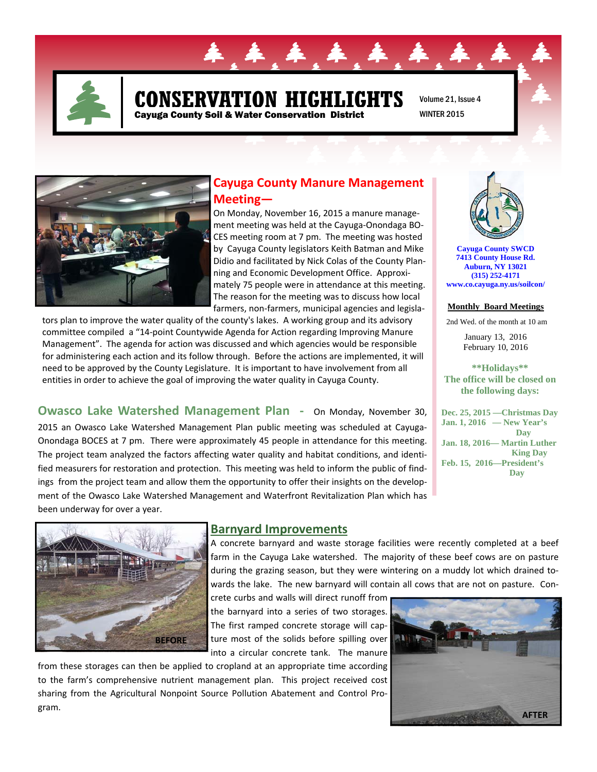

# **CONSERVATION HIGHLIGHTS**  Cayuga County Soil & Water Conservation District

44

Volume 21, Issue 4 WINTER 2015



## **Cayuga County Manure Management Meeting—**

On Monday, November 16, 2015 a manure manage‐ ment meeting was held at the Cayuga‐Onondaga BO‐ CES meeting room at 7 pm. The meeting was hosted by Cayuga County legislators Keith Batman and Mike Didio and facilitated by Nick Colas of the County Plan‐ ning and Economic Development Office. Approxi‐ mately 75 people were in attendance at this meeting. The reason for the meeting was to discuss how local farmers, non‐farmers, municipal agencies and legisla‐

tors plan to improve the water quality of the county's lakes. A working group and its advisory committee compiled a "14‐point Countywide Agenda for Action regarding Improving Manure Management". The agenda for action was discussed and which agencies would be responsible for administering each action and its follow through. Before the actions are implemented, it will need to be approved by the County Legislature. It is important to have involvement from all entities in order to achieve the goal of improving the water quality in Cayuga County.

**Owasco Lake Watershed Management Plan ‐**  On Monday, November 30,

2015 an Owasco Lake Watershed Management Plan public meeting was scheduled at Cayuga‐ Onondaga BOCES at 7 pm. There were approximately 45 people in attendance for this meeting. The project team analyzed the factors affecting water quality and habitat conditions, and identi‐ fied measurers for restoration and protection. This meeting was held to inform the public of find‐ ings from the project team and allow them the opportunity to offer their insights on the develop‐ ment of the Owasco Lake Watershed Management and Waterfront Revitalization Plan which has been underway for over a year.



**Cayuga County SWCD 7413 County House Rd. Auburn, NY 13021 (315) 252-4171 www.co.cayuga.ny.us/soilcon/**

#### **Monthly Board Meetings**

2nd Wed. of the month at 10 am

January 13, 2016 February 10, 2016

**\*\*Holidays\*\* The office will be closed on the following days:** 

**Dec. 25, 2015 —Christmas Day Jan. 1, 2016 — New Year's Day Jan. 18, 2016— Martin Luther King Day Feb. 15, 2016—President's Day** 



### **Barnyard Improvements**

A concrete barnyard and waste storage facilities were recently completed at a beef farm in the Cayuga Lake watershed. The majority of these beef cows are on pasture during the grazing season, but they were wintering on a muddy lot which drained to‐ wards the lake. The new barnyard will contain all cows that are not on pasture. Con-

crete curbs and walls will direct runoff from the barnyard into a series of two storages. The first ramped concrete storage will cap‐ ture most of the solids before spilling over into a circular concrete tank. The manure

from these storages can then be applied to cropland at an appropriate time according to the farm's comprehensive nutrient management plan. This project received cost sharing from the Agricultural Nonpoint Source Pollution Abatement and Control Pro‐ gram.